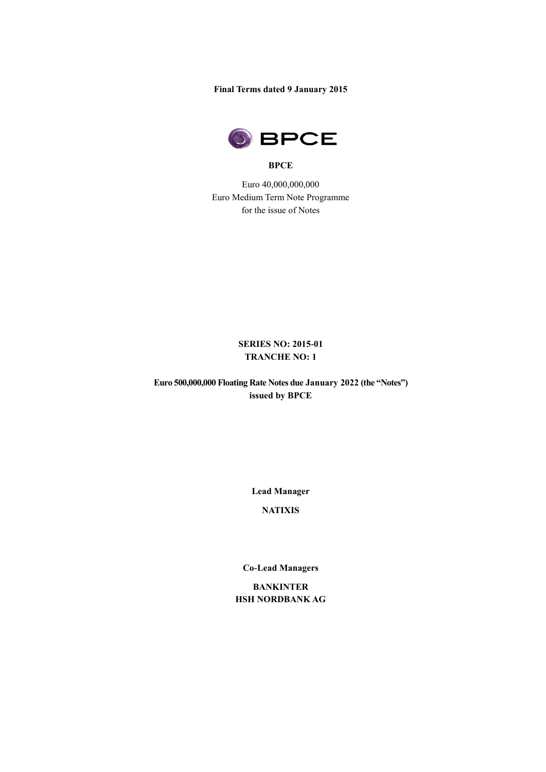**Final Terms dated 9 January 2015**



#### **BPCE**

Euro 40,000,000,000 Euro Medium Term Note Programme for the issue of Notes

# **SERIES NO: 2015-01 TRANCHE NO: 1**

**Euro 500,000,000 Floating Rate Notes due January 2022 (the "Notes") issued by BPCE** 

**Lead Manager**

**NATIXIS**

**Co-Lead Managers**

**BANKINTER HSH NORDBANK AG**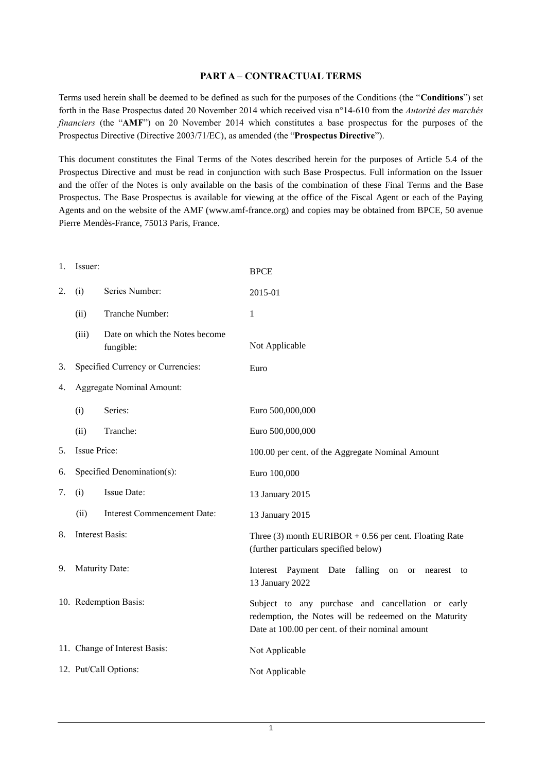# **PART A – CONTRACTUAL TERMS**

Terms used herein shall be deemed to be defined as such for the purposes of the Conditions (the "**Conditions**") set forth in the Base Prospectus dated 20 November 2014 which received visa n°14-610 from the *Autorité des marchés financiers* (the "**AMF**") on 20 November 2014 which constitutes a base prospectus for the purposes of the Prospectus Directive (Directive 2003/71/EC), as amended (the "**Prospectus Directive**").

This document constitutes the Final Terms of the Notes described herein for the purposes of Article 5.4 of the Prospectus Directive and must be read in conjunction with such Base Prospectus. Full information on the Issuer and the offer of the Notes is only available on the basis of the combination of these Final Terms and the Base Prospectus. The Base Prospectus is available for viewing at the office of the Fiscal Agent or each of the Paying Agents and on the website of the AMF (www.amf-france.org) and copies may be obtained from BPCE, 50 avenue Pierre Mendès-France, 75013 Paris, France.

| 1. | Issuer:                           |                                             | <b>BPCE</b>                                                                                                                                                     |  |
|----|-----------------------------------|---------------------------------------------|-----------------------------------------------------------------------------------------------------------------------------------------------------------------|--|
| 2. | (i)                               | Series Number:                              | 2015-01                                                                                                                                                         |  |
|    | (ii)                              | Tranche Number:                             | 1                                                                                                                                                               |  |
|    | (iii)                             | Date on which the Notes become<br>fungible: | Not Applicable                                                                                                                                                  |  |
| 3. | Specified Currency or Currencies: |                                             | Euro                                                                                                                                                            |  |
| 4. | <b>Aggregate Nominal Amount:</b>  |                                             |                                                                                                                                                                 |  |
|    | (i)                               | Series:                                     | Euro 500,000,000                                                                                                                                                |  |
|    | (ii)                              | Tranche:                                    | Euro 500,000,000                                                                                                                                                |  |
| 5. | <b>Issue Price:</b>               |                                             | 100.00 per cent. of the Aggregate Nominal Amount                                                                                                                |  |
| 6. | Specified Denomination(s):        |                                             | Euro 100,000                                                                                                                                                    |  |
| 7. | (i)                               | Issue Date:                                 | 13 January 2015                                                                                                                                                 |  |
|    | (ii)                              | <b>Interest Commencement Date:</b>          | 13 January 2015                                                                                                                                                 |  |
| 8. | Interest Basis:                   |                                             | Three $(3)$ month EURIBOR + 0.56 per cent. Floating Rate<br>(further particulars specified below)                                                               |  |
| 9. | Maturity Date:                    |                                             | Interest Payment Date<br>falling<br>on<br>nearest<br><b>or</b><br>to<br>13 January 2022                                                                         |  |
|    |                                   | 10. Redemption Basis:                       | Subject to any purchase and cancellation or early<br>redemption, the Notes will be redeemed on the Maturity<br>Date at 100.00 per cent. of their nominal amount |  |
|    |                                   | 11. Change of Interest Basis:               | Not Applicable                                                                                                                                                  |  |
|    |                                   | 12. Put/Call Options:                       | Not Applicable                                                                                                                                                  |  |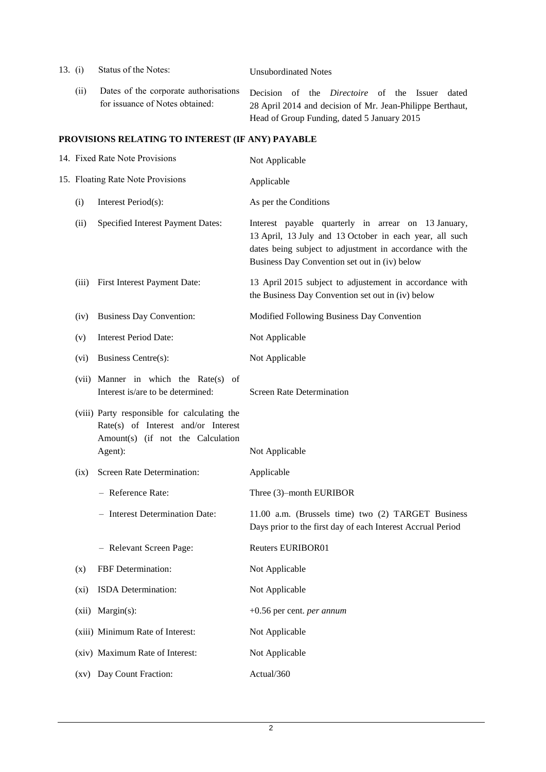- 13. (i) Status of the Notes: Unsubordinated Notes
	- (ii) Dates of the corporate authorisations for issuance of Notes obtained: Decision of the *Directoire* of the Issuer dated 28 April 2014 and decision of Mr. Jean-Philippe Berthaut, Head of Group Funding, dated 5 January 2015

### **PROVISIONS RELATING TO INTEREST (IF ANY) PAYABLE**

|                    | 14. Fixed Rate Note Provisions                                                                                                      | Not Applicable                                                                                                                                                                                                              |
|--------------------|-------------------------------------------------------------------------------------------------------------------------------------|-----------------------------------------------------------------------------------------------------------------------------------------------------------------------------------------------------------------------------|
|                    | 15. Floating Rate Note Provisions                                                                                                   | Applicable                                                                                                                                                                                                                  |
| (i)                | Interest Period(s):                                                                                                                 | As per the Conditions                                                                                                                                                                                                       |
| (ii)               | <b>Specified Interest Payment Dates:</b>                                                                                            | Interest payable quarterly in arrear on 13 January,<br>13 April, 13 July and 13 October in each year, all such<br>dates being subject to adjustment in accordance with the<br>Business Day Convention set out in (iv) below |
| (iii)              | First Interest Payment Date:                                                                                                        | 13 April 2015 subject to adjustement in accordance with<br>the Business Day Convention set out in (iv) below                                                                                                                |
| (iv)               | <b>Business Day Convention:</b>                                                                                                     | Modified Following Business Day Convention                                                                                                                                                                                  |
| (v)                | <b>Interest Period Date:</b>                                                                                                        | Not Applicable                                                                                                                                                                                                              |
| $(v_i)$            | Business Centre(s):                                                                                                                 | Not Applicable                                                                                                                                                                                                              |
|                    | (vii) Manner in which the Rate(s)<br>of<br>Interest is/are to be determined:                                                        | <b>Screen Rate Determination</b>                                                                                                                                                                                            |
|                    | (viii) Party responsible for calculating the<br>Rate(s) of Interest and/or Interest<br>Amount(s) (if not the Calculation<br>Agent): | Not Applicable                                                                                                                                                                                                              |
| (ix)               | Screen Rate Determination:                                                                                                          | Applicable                                                                                                                                                                                                                  |
|                    | - Reference Rate:                                                                                                                   | Three (3)-month EURIBOR                                                                                                                                                                                                     |
|                    | - Interest Determination Date:                                                                                                      | 11.00 a.m. (Brussels time) two (2) TARGET Business<br>Days prior to the first day of each Interest Accrual Period                                                                                                           |
|                    | - Relevant Screen Page:                                                                                                             | <b>Reuters EURIBOR01</b>                                                                                                                                                                                                    |
| (x)                | FBF Determination:                                                                                                                  | Not Applicable                                                                                                                                                                                                              |
| (xi)               | ISDA Determination:                                                                                                                 | Not Applicable                                                                                                                                                                                                              |
| (xii)              | $Margin(s)$ :                                                                                                                       | $+0.56$ per cent. per annum                                                                                                                                                                                                 |
|                    | (xiii) Minimum Rate of Interest:                                                                                                    | Not Applicable                                                                                                                                                                                                              |
|                    | (xiv) Maximum Rate of Interest:                                                                                                     | Not Applicable                                                                                                                                                                                                              |
| $\left( xy\right)$ | Day Count Fraction:                                                                                                                 | Actual/360                                                                                                                                                                                                                  |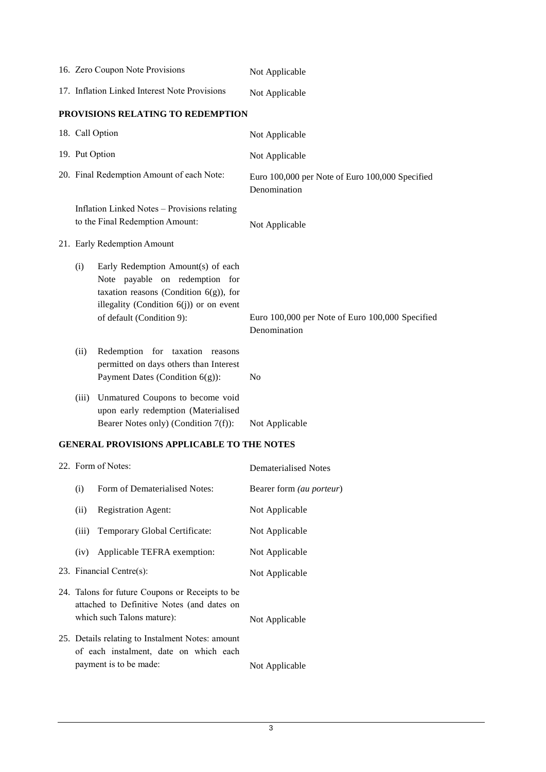|                                               | 16. Zero Coupon Note Provisions                                                                                                                                                              | Not Applicable                                                  |
|-----------------------------------------------|----------------------------------------------------------------------------------------------------------------------------------------------------------------------------------------------|-----------------------------------------------------------------|
| 17. Inflation Linked Interest Note Provisions |                                                                                                                                                                                              | Not Applicable                                                  |
|                                               | PROVISIONS RELATING TO REDEMPTION                                                                                                                                                            |                                                                 |
| 18. Call Option                               |                                                                                                                                                                                              | Not Applicable                                                  |
| 19. Put Option                                |                                                                                                                                                                                              | Not Applicable                                                  |
| 20. Final Redemption Amount of each Note:     |                                                                                                                                                                                              | Euro 100,000 per Note of Euro 100,000 Specified<br>Denomination |
|                                               | Inflation Linked Notes - Provisions relating<br>to the Final Redemption Amount:                                                                                                              | Not Applicable                                                  |
| 21. Early Redemption Amount                   |                                                                                                                                                                                              |                                                                 |
| (i)                                           | Early Redemption Amount(s) of each<br>Note payable on redemption for<br>taxation reasons (Condition $6(g)$ ), for<br>illegality (Condition $6(j)$ ) or on event<br>of default (Condition 9): | Euro 100,000 per Note of Euro 100,000 Specified<br>Denomination |
| (ii)                                          | Redemption for taxation<br>reasons<br>permitted on days others than Interest<br>Payment Dates (Condition 6(g)):                                                                              | N <sub>0</sub>                                                  |
| (iii)                                         | Unmatured Coupons to become void<br>upon early redemption (Materialised<br>Bearer Notes only) (Condition 7(f)):                                                                              | Not Applicable                                                  |

### **GENERAL PROVISIONS APPLICABLE TO THE NOTES**

| 22. Form of Notes:                                                                                                          |                                                                                                                      | Dematerialised Notes            |
|-----------------------------------------------------------------------------------------------------------------------------|----------------------------------------------------------------------------------------------------------------------|---------------------------------|
| (i)                                                                                                                         | Form of Dematerialised Notes:                                                                                        | Bearer form <i>(au porteur)</i> |
| (ii)                                                                                                                        | <b>Registration Agent:</b>                                                                                           | Not Applicable                  |
| (iii)                                                                                                                       | Temporary Global Certificate:                                                                                        | Not Applicable                  |
| (iv)                                                                                                                        | Applicable TEFRA exemption:                                                                                          | Not Applicable                  |
|                                                                                                                             | 23. Financial Centre $(s)$ :                                                                                         | Not Applicable                  |
| 24. Talons for future Coupons or Receipts to be<br>attached to Definitive Notes (and dates on<br>which such Talons mature): |                                                                                                                      | Not Applicable                  |
|                                                                                                                             | 25. Details relating to Instalment Notes: amount<br>of each instalment, date on which each<br>payment is to be made: | Not Applicable                  |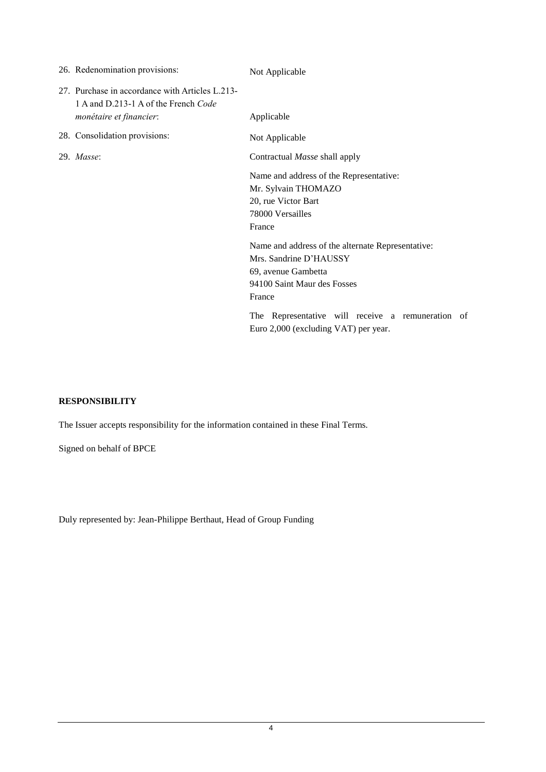| 26. Redenomination provisions: |                                                                                         | Not Applicable                                                                                                                              |
|--------------------------------|-----------------------------------------------------------------------------------------|---------------------------------------------------------------------------------------------------------------------------------------------|
| monétaire et financier:        | 27. Purchase in accordance with Articles L.213-<br>1 A and D.213-1 A of the French Code | Applicable                                                                                                                                  |
| 28. Consolidation provisions:  |                                                                                         | Not Applicable                                                                                                                              |
| 29. Masse:                     |                                                                                         | Contractual Masse shall apply                                                                                                               |
|                                |                                                                                         | Name and address of the Representative:<br>Mr. Sylvain THOMAZO<br>20, rue Victor Bart<br>78000 Versailles<br>France                         |
|                                |                                                                                         | Name and address of the alternate Representative:<br>Mrs. Sandrine D'HAUSSY<br>69, avenue Gambetta<br>94100 Saint Maur des Fosses<br>France |
|                                |                                                                                         | The Representative will receive a remuneration of<br>Euro 2,000 (excluding VAT) per year.                                                   |

### **RESPONSIBILITY**

The Issuer accepts responsibility for the information contained in these Final Terms.

Signed on behalf of BPCE

Duly represented by: Jean-Philippe Berthaut, Head of Group Funding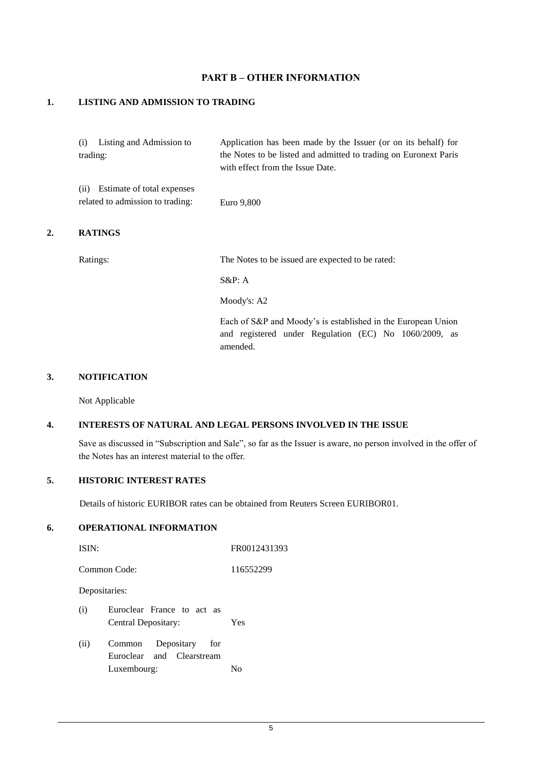# **PART B – OTHER INFORMATION**

#### **1. LISTING AND ADMISSION TO TRADING**

|    | Listing and Admission to<br>(1)<br>trading:                           | Application has been made by the Issuer (or on its behalf) for<br>the Notes to be listed and admitted to trading on Euronext Paris<br>with effect from the Issue Date. |
|----|-----------------------------------------------------------------------|------------------------------------------------------------------------------------------------------------------------------------------------------------------------|
|    | Estimate of total expenses<br>(i)<br>related to admission to trading: | Euro 9,800                                                                                                                                                             |
| 2. | <b>RATINGS</b>                                                        |                                                                                                                                                                        |

Ratings: The Notes to be issued are expected to be rated:

S&P: A

Moody's: A2

Each of S&P and Moody's is established in the European Union and registered under Regulation (EC) No 1060/2009, as amended.

#### **3. NOTIFICATION**

Not Applicable

#### **4. INTERESTS OF NATURAL AND LEGAL PERSONS INVOLVED IN THE ISSUE**

Save as discussed in "Subscription and Sale", so far as the Issuer is aware, no person involved in the offer of the Notes has an interest material to the offer.

# **5. HISTORIC INTEREST RATES**

Details of historic EURIBOR rates can be obtained from Reuters Screen EURIBOR01.

# **6. OPERATIONAL INFORMATION**

| ISIN:                                                            | FR0012431393 |
|------------------------------------------------------------------|--------------|
| Common Code:                                                     | 116552299    |
| Depositaries:                                                    |              |
| Euroclear France to act as<br>(i)<br>Central Depositary:         | Yes          |
| (ii)<br>Depositary<br>Common<br>for<br>Euroclear and Clearstream | Nο           |
| Luxembourg:                                                      |              |